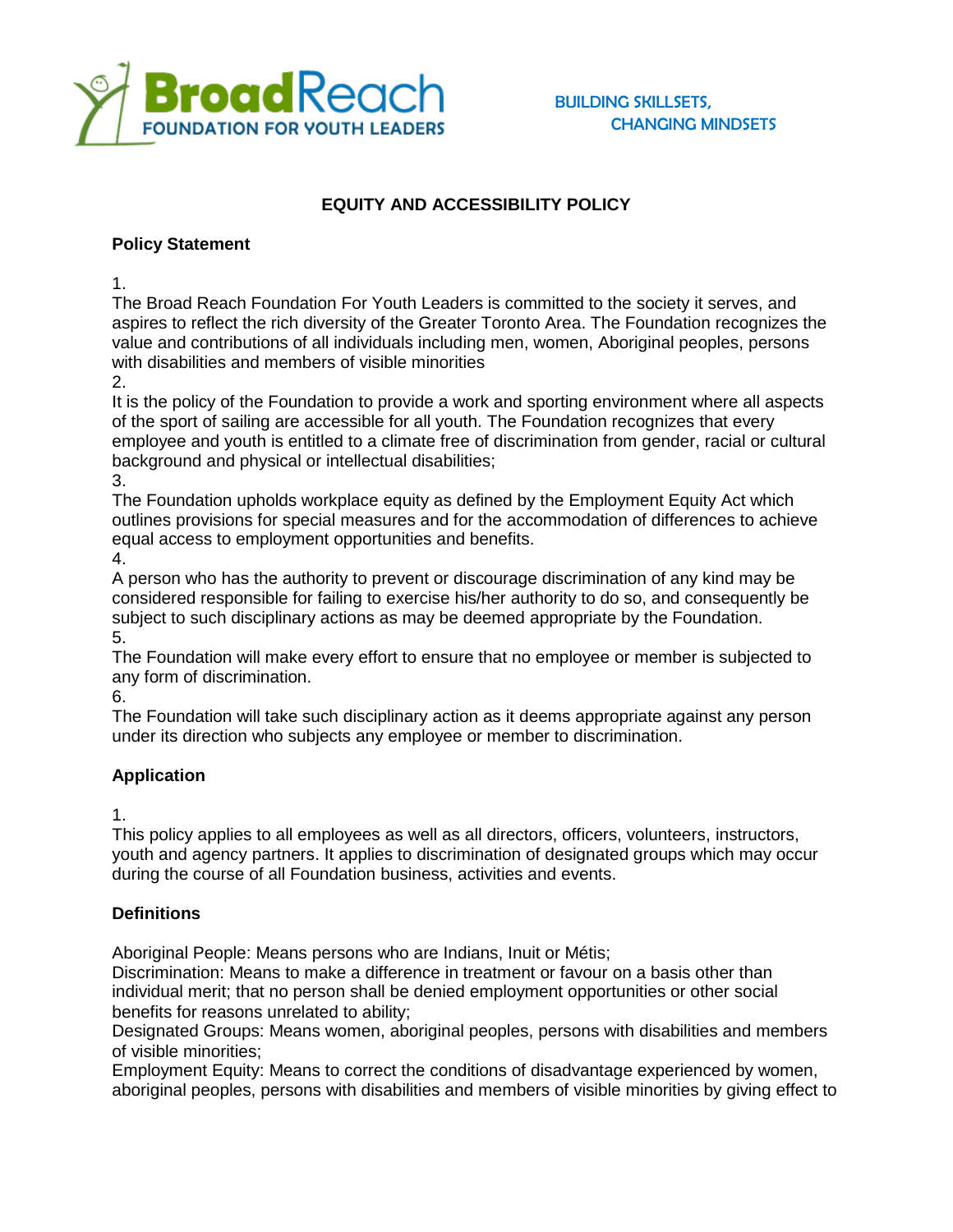

## **EQUITY AND ACCESSIBILITY POLICY**

#### **Policy Statement**

1.

The Broad Reach Foundation For Youth Leaders is committed to the society it serves, and aspires to reflect the rich diversity of the Greater Toronto Area. The Foundation recognizes the value and contributions of all individuals including men, women, Aboriginal peoples, persons with disabilities and members of visible minorities

2.

It is the policy of the Foundation to provide a work and sporting environment where all aspects of the sport of sailing are accessible for all youth. The Foundation recognizes that every employee and youth is entitled to a climate free of discrimination from gender, racial or cultural background and physical or intellectual disabilities;

3.

The Foundation upholds workplace equity as defined by the Employment Equity Act which outlines provisions for special measures and for the accommodation of differences to achieve equal access to employment opportunities and benefits.

4.

A person who has the authority to prevent or discourage discrimination of any kind may be considered responsible for failing to exercise his/her authority to do so, and consequently be subject to such disciplinary actions as may be deemed appropriate by the Foundation. 5.

The Foundation will make every effort to ensure that no employee or member is subjected to any form of discrimination.

6.

The Foundation will take such disciplinary action as it deems appropriate against any person under its direction who subjects any employee or member to discrimination.

#### **Application**

1.

This policy applies to all employees as well as all directors, officers, volunteers, instructors, youth and agency partners. It applies to discrimination of designated groups which may occur during the course of all Foundation business, activities and events.

#### **Definitions**

Aboriginal People: Means persons who are Indians, Inuit or Métis;

Discrimination: Means to make a difference in treatment or favour on a basis other than individual merit; that no person shall be denied employment opportunities or other social benefits for reasons unrelated to ability;

Designated Groups: Means women, aboriginal peoples, persons with disabilities and members of visible minorities;

Employment Equity: Means to correct the conditions of disadvantage experienced by women, aboriginal peoples, persons with disabilities and members of visible minorities by giving effect to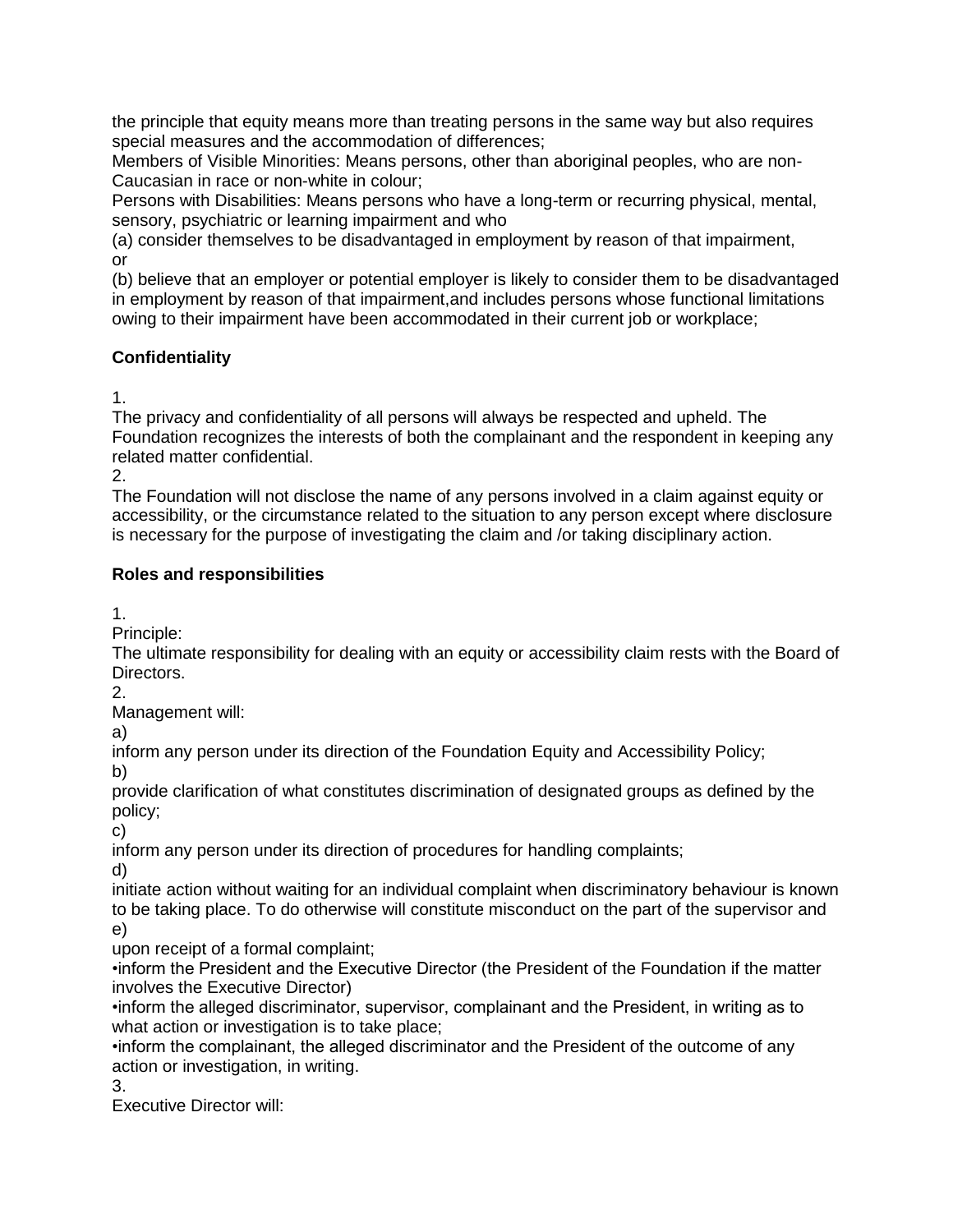the principle that equity means more than treating persons in the same way but also requires special measures and the accommodation of differences;

Members of Visible Minorities: Means persons, other than aboriginal peoples, who are non-Caucasian in race or non-white in colour;

Persons with Disabilities: Means persons who have a long-term or recurring physical, mental, sensory, psychiatric or learning impairment and who

(a) consider themselves to be disadvantaged in employment by reason of that impairment, or

(b) believe that an employer or potential employer is likely to consider them to be disadvantaged in employment by reason of that impairment,and includes persons whose functional limitations owing to their impairment have been accommodated in their current job or workplace;

## **Confidentiality**

1.

The privacy and confidentiality of all persons will always be respected and upheld. The Foundation recognizes the interests of both the complainant and the respondent in keeping any related matter confidential.

2.

The Foundation will not disclose the name of any persons involved in a claim against equity or accessibility, or the circumstance related to the situation to any person except where disclosure is necessary for the purpose of investigating the claim and /or taking disciplinary action.

### **Roles and responsibilities**

1.

Principle:

The ultimate responsibility for dealing with an equity or accessibility claim rests with the Board of Directors.

2.

Management will:

a)

inform any person under its direction of the Foundation Equity and Accessibility Policy; b)

provide clarification of what constitutes discrimination of designated groups as defined by the policy;

c)

inform any person under its direction of procedures for handling complaints;

d)

initiate action without waiting for an individual complaint when discriminatory behaviour is known to be taking place. To do otherwise will constitute misconduct on the part of the supervisor and e)

upon receipt of a formal complaint;

•inform the President and the Executive Director (the President of the Foundation if the matter involves the Executive Director)

•inform the alleged discriminator, supervisor, complainant and the President, in writing as to what action or investigation is to take place;

•inform the complainant, the alleged discriminator and the President of the outcome of any action or investigation, in writing.

3.

Executive Director will: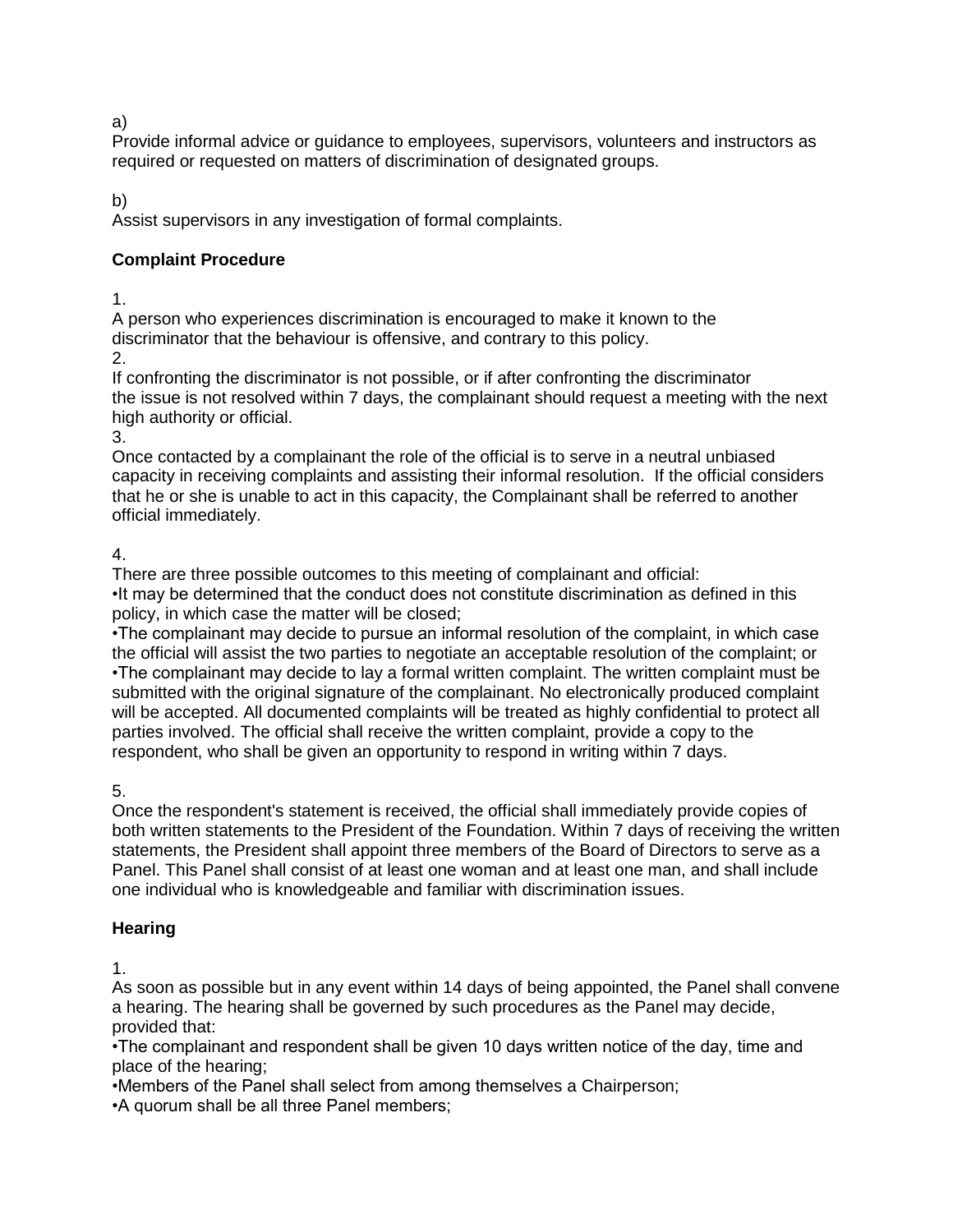a)

Provide informal advice or guidance to employees, supervisors, volunteers and instructors as required or requested on matters of discrimination of designated groups.

b)

Assist supervisors in any investigation of formal complaints.

#### **Complaint Procedure**

1.

A person who experiences discrimination is encouraged to make it known to the discriminator that the behaviour is offensive, and contrary to this policy.

2.

If confronting the discriminator is not possible, or if after confronting the discriminator the issue is not resolved within 7 days, the complainant should request a meeting with the next high authority or official.

3.

Once contacted by a complainant the role of the official is to serve in a neutral unbiased capacity in receiving complaints and assisting their informal resolution. If the official considers that he or she is unable to act in this capacity, the Complainant shall be referred to another official immediately.

4.

There are three possible outcomes to this meeting of complainant and official:

•It may be determined that the conduct does not constitute discrimination as defined in this policy, in which case the matter will be closed;

•The complainant may decide to pursue an informal resolution of the complaint, in which case the official will assist the two parties to negotiate an acceptable resolution of the complaint; or •The complainant may decide to lay a formal written complaint. The written complaint must be submitted with the original signature of the complainant. No electronically produced complaint will be accepted. All documented complaints will be treated as highly confidential to protect all parties involved. The official shall receive the written complaint, provide a copy to the respondent, who shall be given an opportunity to respond in writing within 7 days.

5.

Once the respondent's statement is received, the official shall immediately provide copies of both written statements to the President of the Foundation. Within 7 days of receiving the written statements, the President shall appoint three members of the Board of Directors to serve as a Panel. This Panel shall consist of at least one woman and at least one man, and shall include one individual who is knowledgeable and familiar with discrimination issues.

#### **Hearing**

1.

As soon as possible but in any event within 14 days of being appointed, the Panel shall convene a hearing. The hearing shall be governed by such procedures as the Panel may decide, provided that:

•The complainant and respondent shall be given 10 days written notice of the day, time and place of the hearing;

•Members of the Panel shall select from among themselves a Chairperson;

•A quorum shall be all three Panel members;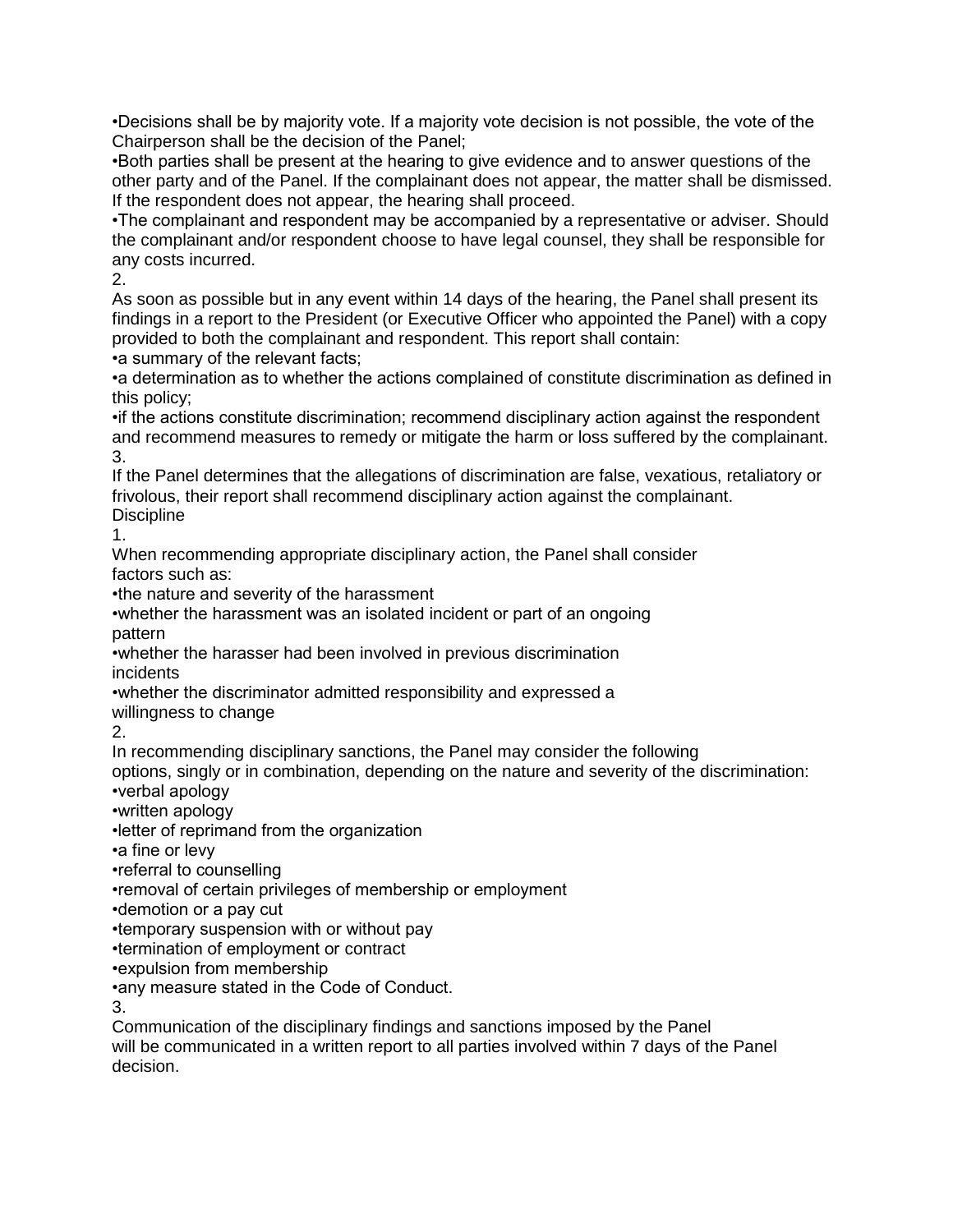•Decisions shall be by majority vote. If a majority vote decision is not possible, the vote of the Chairperson shall be the decision of the Panel;

•Both parties shall be present at the hearing to give evidence and to answer questions of the other party and of the Panel. If the complainant does not appear, the matter shall be dismissed. If the respondent does not appear, the hearing shall proceed.

•The complainant and respondent may be accompanied by a representative or adviser. Should the complainant and/or respondent choose to have legal counsel, they shall be responsible for any costs incurred.

2.

As soon as possible but in any event within 14 days of the hearing, the Panel shall present its findings in a report to the President (or Executive Officer who appointed the Panel) with a copy provided to both the complainant and respondent. This report shall contain:

•a summary of the relevant facts;

•a determination as to whether the actions complained of constitute discrimination as defined in this policy;

•if the actions constitute discrimination; recommend disciplinary action against the respondent and recommend measures to remedy or mitigate the harm or loss suffered by the complainant. 3.

If the Panel determines that the allegations of discrimination are false, vexatious, retaliatory or frivolous, their report shall recommend disciplinary action against the complainant. **Discipline** 

1.

When recommending appropriate disciplinary action, the Panel shall consider factors such as:

•the nature and severity of the harassment

•whether the harassment was an isolated incident or part of an ongoing pattern

•whether the harasser had been involved in previous discrimination incidents

•whether the discriminator admitted responsibility and expressed a

willingness to change

2.

In recommending disciplinary sanctions, the Panel may consider the following

options, singly or in combination, depending on the nature and severity of the discrimination: •verbal apology

•written apology

•letter of reprimand from the organization

•a fine or levy

•referral to counselling

•removal of certain privileges of membership or employment

•demotion or a pay cut

•temporary suspension with or without pay

•termination of employment or contract

•expulsion from membership

•any measure stated in the Code of Conduct.

3.

Communication of the disciplinary findings and sanctions imposed by the Panel will be communicated in a written report to all parties involved within 7 days of the Panel decision.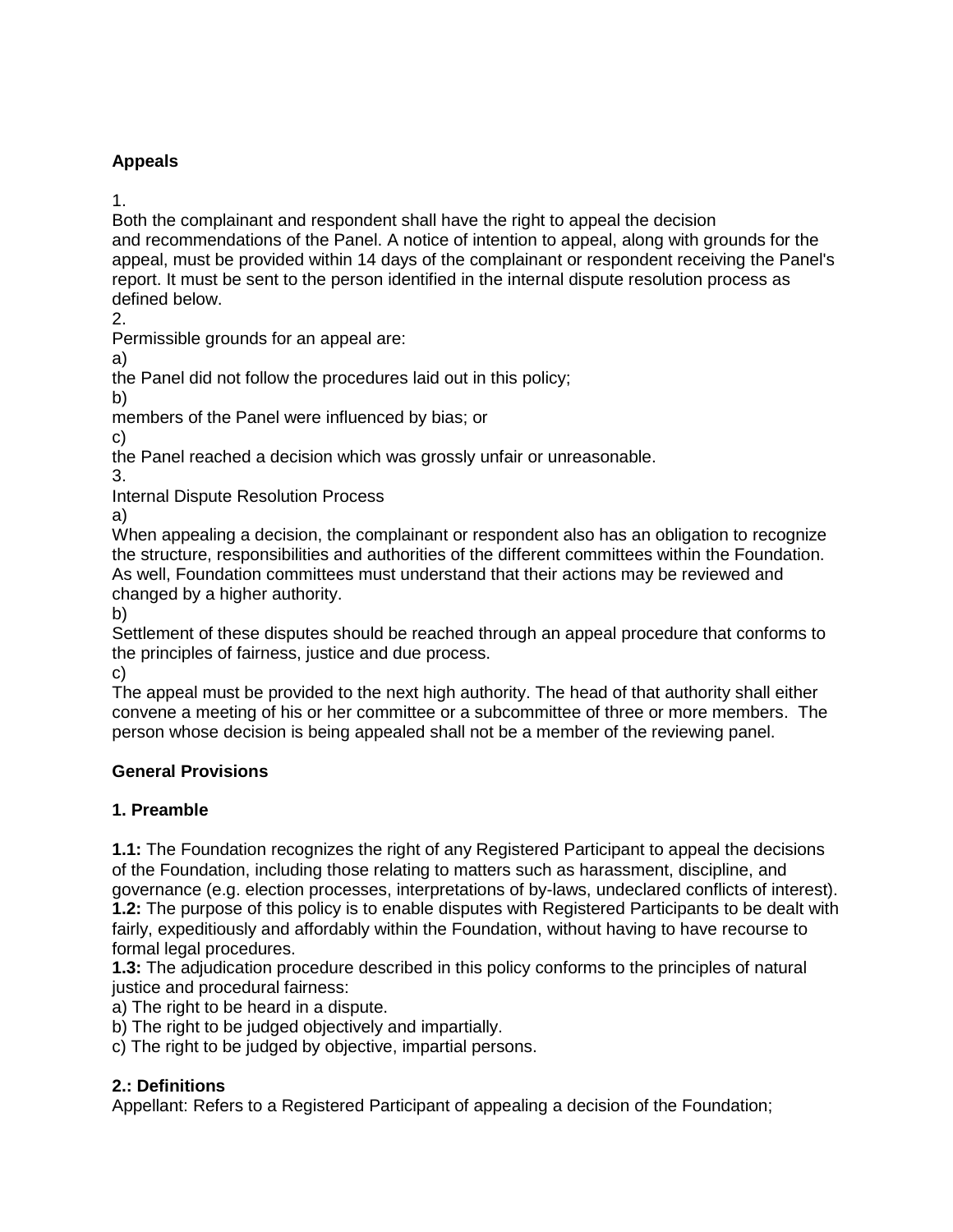## **Appeals**

1.

Both the complainant and respondent shall have the right to appeal the decision and recommendations of the Panel. A notice of intention to appeal, along with grounds for the appeal, must be provided within 14 days of the complainant or respondent receiving the Panel's report. It must be sent to the person identified in the internal dispute resolution process as defined below.

2.

Permissible grounds for an appeal are:

a)

the Panel did not follow the procedures laid out in this policy;

b)

members of the Panel were influenced by bias; or

c)

the Panel reached a decision which was grossly unfair or unreasonable.

3.

Internal Dispute Resolution Process

a)

When appealing a decision, the complainant or respondent also has an obligation to recognize the structure, responsibilities and authorities of the different committees within the Foundation. As well, Foundation committees must understand that their actions may be reviewed and changed by a higher authority.

b)

Settlement of these disputes should be reached through an appeal procedure that conforms to the principles of fairness, justice and due process.

c)

The appeal must be provided to the next high authority. The head of that authority shall either convene a meeting of his or her committee or a subcommittee of three or more members. The person whose decision is being appealed shall not be a member of the reviewing panel.

# **General Provisions**

# **1. Preamble**

**1.1:** The Foundation recognizes the right of any Registered Participant to appeal the decisions of the Foundation, including those relating to matters such as harassment, discipline, and governance (e.g. election processes, interpretations of by-laws, undeclared conflicts of interest). **1.2:** The purpose of this policy is to enable disputes with Registered Participants to be dealt with fairly, expeditiously and affordably within the Foundation, without having to have recourse to formal legal procedures.

**1.3:** The adjudication procedure described in this policy conforms to the principles of natural justice and procedural fairness:

a) The right to be heard in a dispute.

b) The right to be judged objectively and impartially.

c) The right to be judged by objective, impartial persons.

# **2.: Definitions**

Appellant: Refers to a Registered Participant of appealing a decision of the Foundation;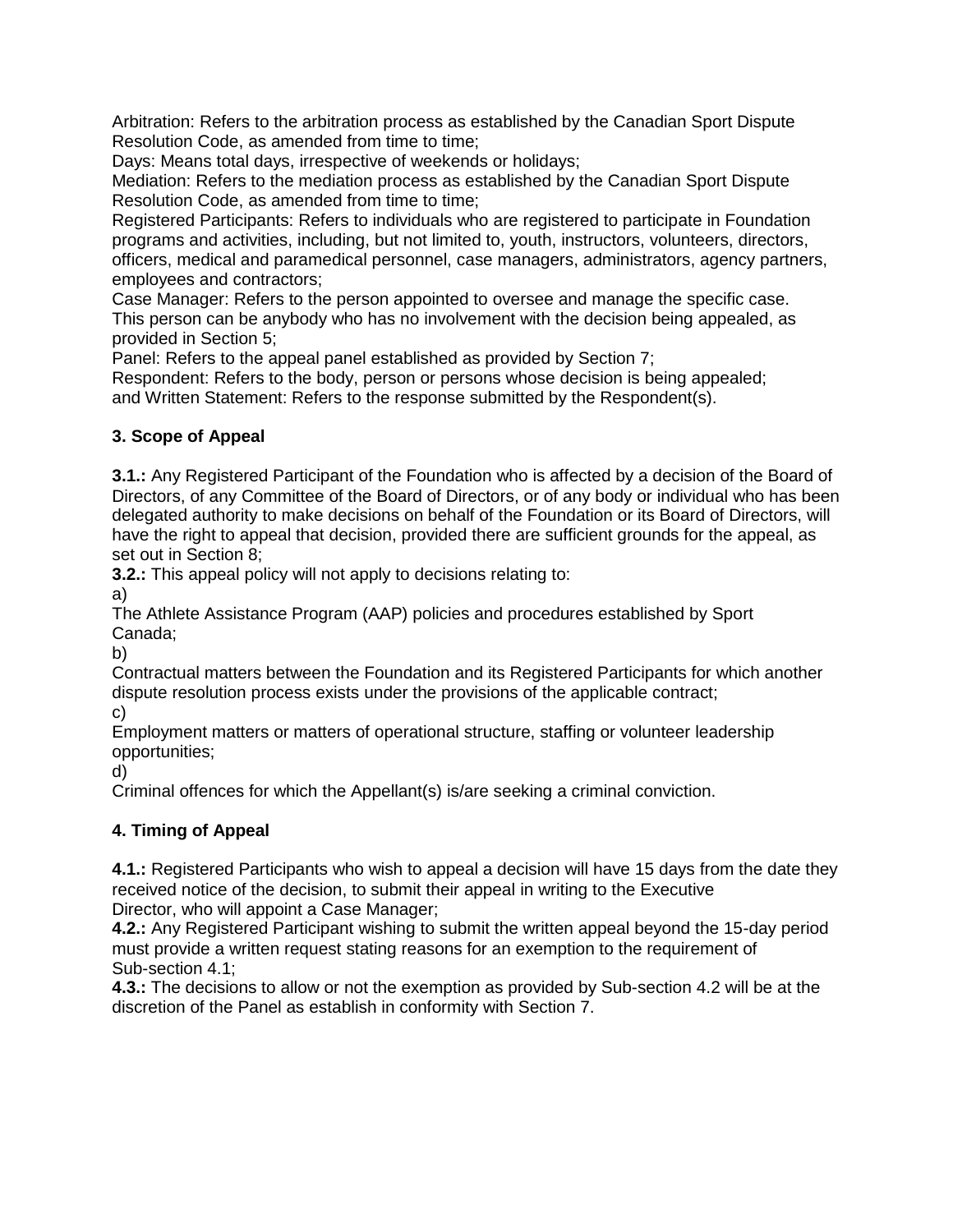Arbitration: Refers to the arbitration process as established by the Canadian Sport Dispute Resolution Code, as amended from time to time;

Days: Means total days, irrespective of weekends or holidays;

Mediation: Refers to the mediation process as established by the Canadian Sport Dispute Resolution Code, as amended from time to time;

Registered Participants: Refers to individuals who are registered to participate in Foundation programs and activities, including, but not limited to, youth, instructors, volunteers, directors, officers, medical and paramedical personnel, case managers, administrators, agency partners, employees and contractors;

Case Manager: Refers to the person appointed to oversee and manage the specific case. This person can be anybody who has no involvement with the decision being appealed, as provided in Section 5;

Panel: Refers to the appeal panel established as provided by Section 7;

Respondent: Refers to the body, person or persons whose decision is being appealed; and Written Statement: Refers to the response submitted by the Respondent(s).

#### **3. Scope of Appeal**

**3.1.:** Any Registered Participant of the Foundation who is affected by a decision of the Board of Directors, of any Committee of the Board of Directors, or of any body or individual who has been delegated authority to make decisions on behalf of the Foundation or its Board of Directors, will have the right to appeal that decision, provided there are sufficient grounds for the appeal, as set out in Section 8;

**3.2.:** This appeal policy will not apply to decisions relating to:

a)

The Athlete Assistance Program (AAP) policies and procedures established by Sport Canada;

b)

Contractual matters between the Foundation and its Registered Participants for which another dispute resolution process exists under the provisions of the applicable contract;

c)

Employment matters or matters of operational structure, staffing or volunteer leadership opportunities;

d)

Criminal offences for which the Appellant(s) is/are seeking a criminal conviction.

#### **4. Timing of Appeal**

**4.1.:** Registered Participants who wish to appeal a decision will have 15 days from the date they received notice of the decision, to submit their appeal in writing to the Executive Director, who will appoint a Case Manager;

**4.2.:** Any Registered Participant wishing to submit the written appeal beyond the 15-day period must provide a written request stating reasons for an exemption to the requirement of Sub-section 4.1;

**4.3.:** The decisions to allow or not the exemption as provided by Sub-section 4.2 will be at the discretion of the Panel as establish in conformity with Section 7.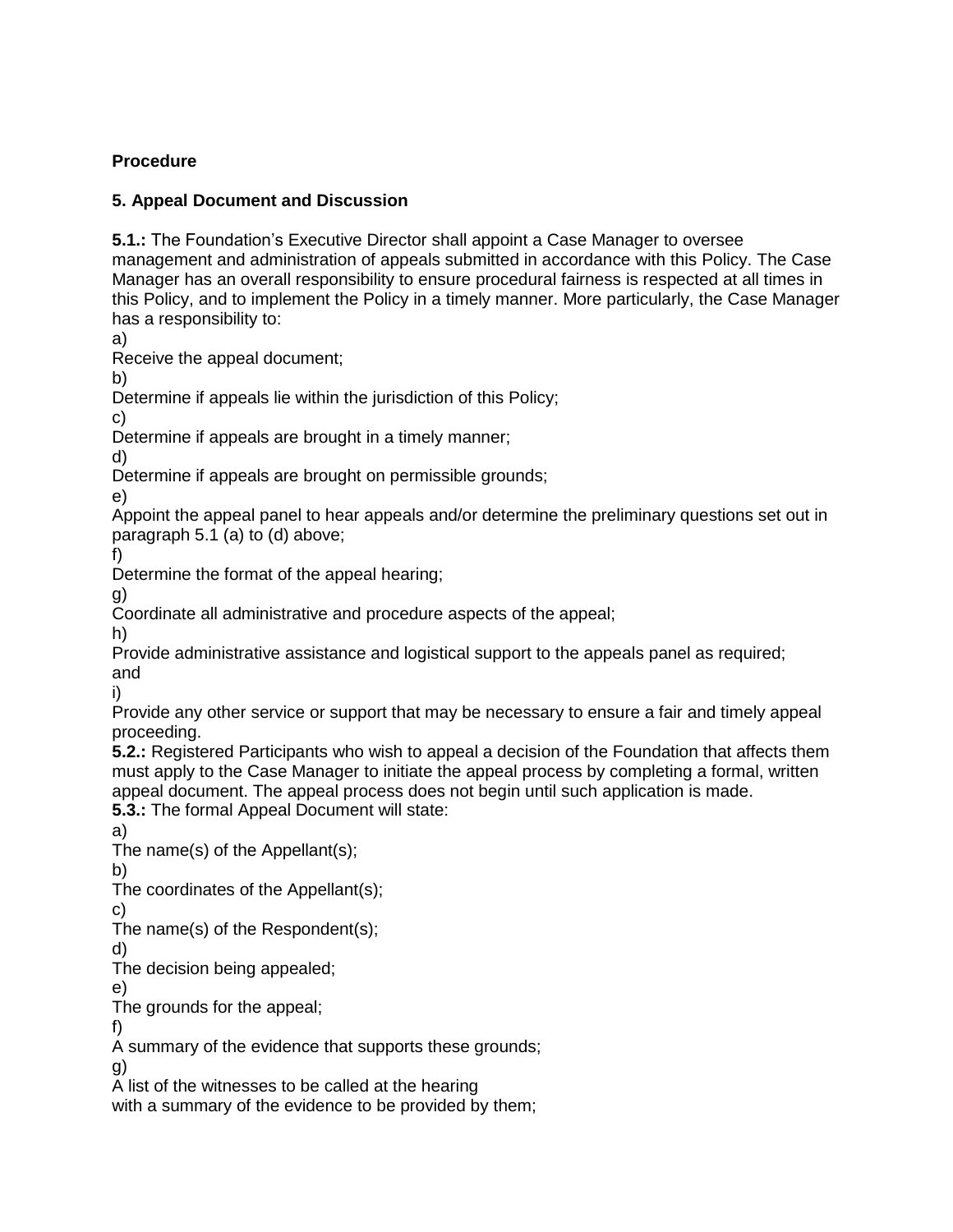#### **Procedure**

#### **5. Appeal Document and Discussion**

**5.1.:** The Foundation's Executive Director shall appoint a Case Manager to oversee management and administration of appeals submitted in accordance with this Policy. The Case Manager has an overall responsibility to ensure procedural fairness is respected at all times in this Policy, and to implement the Policy in a timely manner. More particularly, the Case Manager has a responsibility to:

a)

Receive the appeal document;

b)

Determine if appeals lie within the jurisdiction of this Policy;

c)

Determine if appeals are brought in a timely manner;

d)

Determine if appeals are brought on permissible grounds;

e)

Appoint the appeal panel to hear appeals and/or determine the preliminary questions set out in paragraph 5.1 (a) to (d) above;

f)

Determine the format of the appeal hearing;

g)

Coordinate all administrative and procedure aspects of the appeal;

h)

Provide administrative assistance and logistical support to the appeals panel as required; and

i)

Provide any other service or support that may be necessary to ensure a fair and timely appeal proceeding.

**5.2.:** Registered Participants who wish to appeal a decision of the Foundation that affects them must apply to the Case Manager to initiate the appeal process by completing a formal, written appeal document. The appeal process does not begin until such application is made.

**5.3.:** The formal Appeal Document will state:

a)

The name(s) of the Appellant(s);

b)

The coordinates of the Appellant(s);

c)

The name(s) of the Respondent(s);

d)

The decision being appealed;

e)

The grounds for the appeal;

f)

A summary of the evidence that supports these grounds;

g)

A list of the witnesses to be called at the hearing

with a summary of the evidence to be provided by them;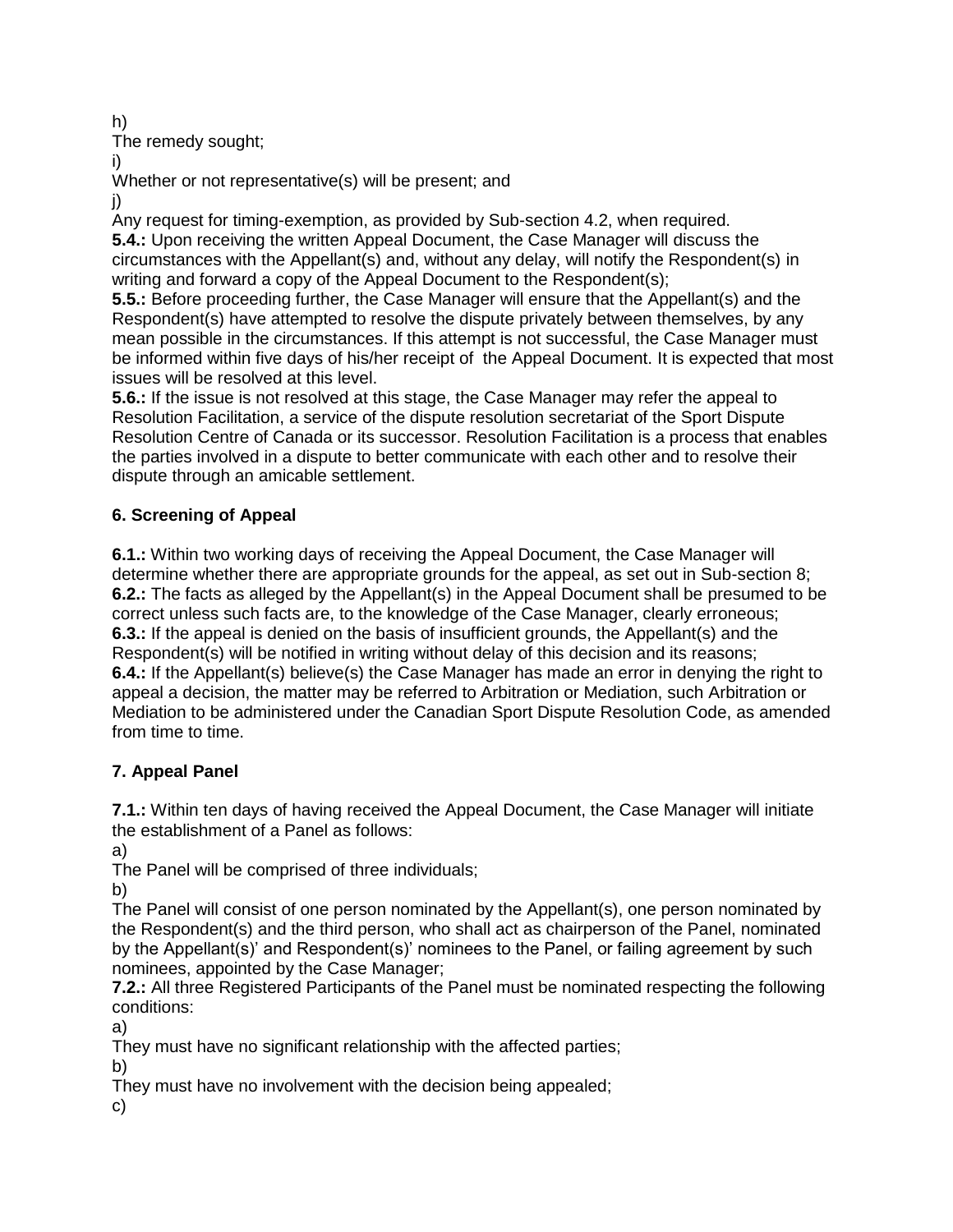h) The remedy sought;

i)

Whether or not representative(s) will be present; and

j)

Any request for timing-exemption, as provided by Sub-section 4.2, when required.

**5.4.:** Upon receiving the written Appeal Document, the Case Manager will discuss the circumstances with the Appellant(s) and, without any delay, will notify the Respondent(s) in writing and forward a copy of the Appeal Document to the Respondent(s);

**5.5.:** Before proceeding further, the Case Manager will ensure that the Appellant(s) and the Respondent(s) have attempted to resolve the dispute privately between themselves, by any mean possible in the circumstances. If this attempt is not successful, the Case Manager must be informed within five days of his/her receipt of the Appeal Document. It is expected that most issues will be resolved at this level.

**5.6.:** If the issue is not resolved at this stage, the Case Manager may refer the appeal to Resolution Facilitation, a service of the dispute resolution secretariat of the Sport Dispute Resolution Centre of Canada or its successor. Resolution Facilitation is a process that enables the parties involved in a dispute to better communicate with each other and to resolve their dispute through an amicable settlement.

## **6. Screening of Appeal**

**6.1.:** Within two working days of receiving the Appeal Document, the Case Manager will determine whether there are appropriate grounds for the appeal, as set out in Sub-section 8; **6.2.:** The facts as alleged by the Appellant(s) in the Appeal Document shall be presumed to be correct unless such facts are, to the knowledge of the Case Manager, clearly erroneous; **6.3.:** If the appeal is denied on the basis of insufficient grounds, the Appellant(s) and the Respondent(s) will be notified in writing without delay of this decision and its reasons; **6.4.:** If the Appellant(s) believe(s) the Case Manager has made an error in denying the right to appeal a decision, the matter may be referred to Arbitration or Mediation, such Arbitration or Mediation to be administered under the Canadian Sport Dispute Resolution Code, as amended from time to time.

## **7. Appeal Panel**

**7.1.:** Within ten days of having received the Appeal Document, the Case Manager will initiate the establishment of a Panel as follows:

a)

The Panel will be comprised of three individuals;

b)

The Panel will consist of one person nominated by the Appellant(s), one person nominated by the Respondent(s) and the third person, who shall act as chairperson of the Panel, nominated by the Appellant(s)' and Respondent(s)' nominees to the Panel, or failing agreement by such nominees, appointed by the Case Manager;

**7.2.:** All three Registered Participants of the Panel must be nominated respecting the following conditions:

a)

They must have no significant relationship with the affected parties;

b)

They must have no involvement with the decision being appealed;

c)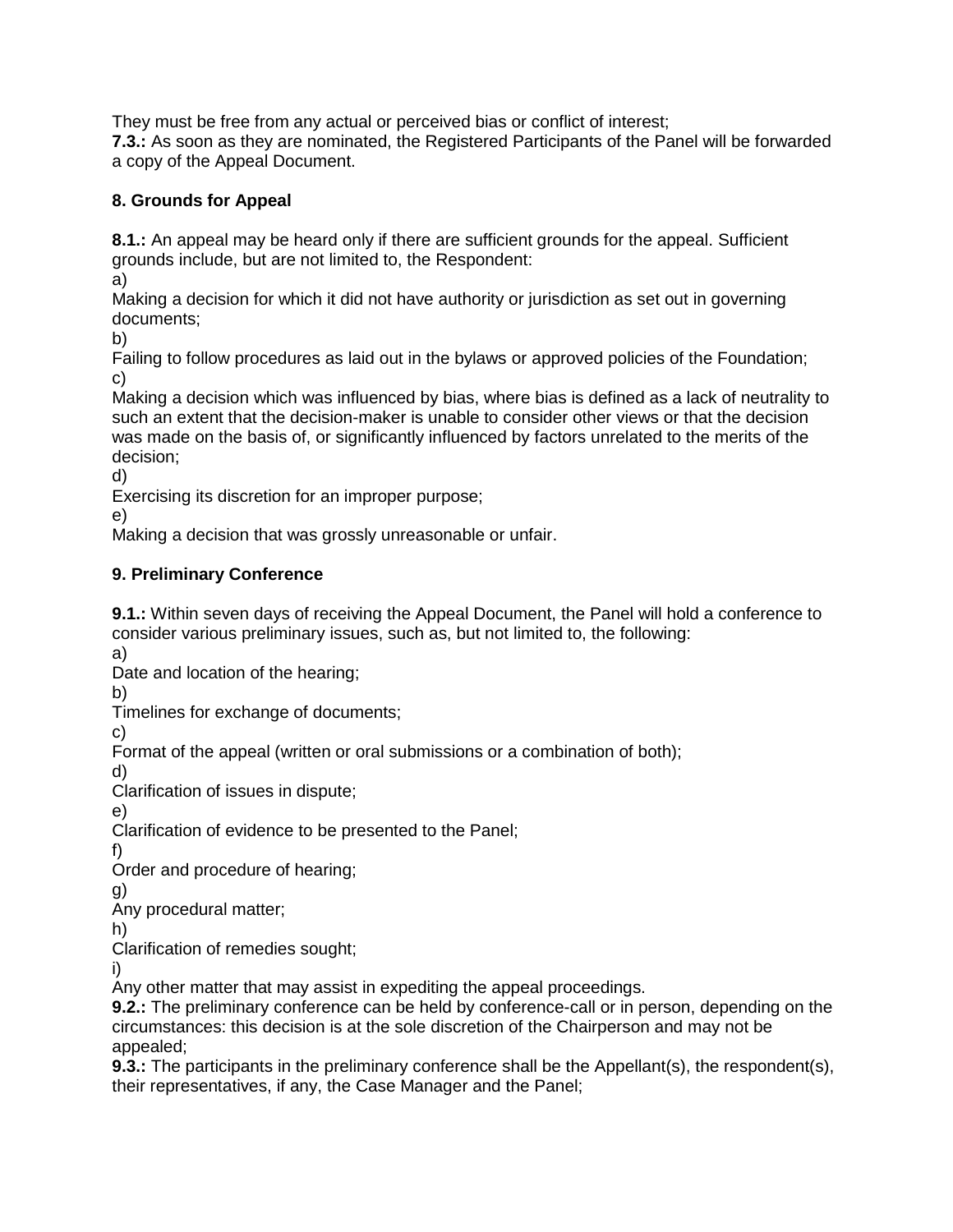They must be free from any actual or perceived bias or conflict of interest;

**7.3.:** As soon as they are nominated, the Registered Participants of the Panel will be forwarded a copy of the Appeal Document.

## **8. Grounds for Appeal**

**8.1.:** An appeal may be heard only if there are sufficient grounds for the appeal. Sufficient grounds include, but are not limited to, the Respondent:

a)

Making a decision for which it did not have authority or jurisdiction as set out in governing documents;

b)

Failing to follow procedures as laid out in the bylaws or approved policies of the Foundation; c)

Making a decision which was influenced by bias, where bias is defined as a lack of neutrality to such an extent that the decision-maker is unable to consider other views or that the decision was made on the basis of, or significantly influenced by factors unrelated to the merits of the decision;

d)

Exercising its discretion for an improper purpose;

e)

Making a decision that was grossly unreasonable or unfair.

## **9. Preliminary Conference**

**9.1.:** Within seven days of receiving the Appeal Document, the Panel will hold a conference to consider various preliminary issues, such as, but not limited to, the following:

a)

Date and location of the hearing;

b)

Timelines for exchange of documents;

c)

Format of the appeal (written or oral submissions or a combination of both);

d) Clarification of issues in dispute;

e)

Clarification of evidence to be presented to the Panel;

f)

Order and procedure of hearing;

g)

Any procedural matter;

h)

Clarification of remedies sought;

i)

Any other matter that may assist in expediting the appeal proceedings.

**9.2.:** The preliminary conference can be held by conference-call or in person, depending on the circumstances: this decision is at the sole discretion of the Chairperson and may not be appealed;

**9.3.:** The participants in the preliminary conference shall be the Appellant(s), the respondent(s), their representatives, if any, the Case Manager and the Panel;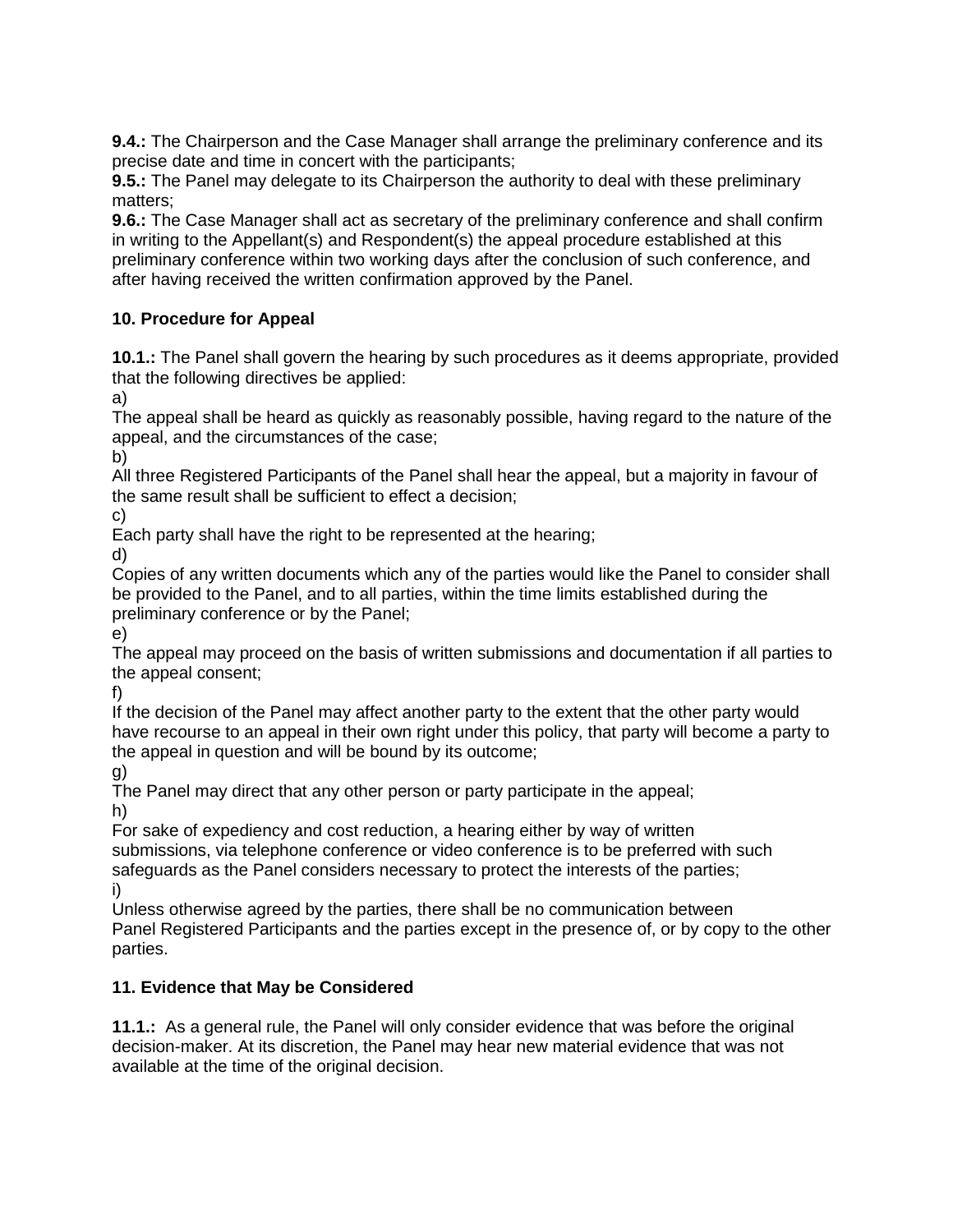**9.4.:** The Chairperson and the Case Manager shall arrange the preliminary conference and its precise date and time in concert with the participants;

**9.5.:** The Panel may delegate to its Chairperson the authority to deal with these preliminary matters;

**9.6.:** The Case Manager shall act as secretary of the preliminary conference and shall confirm in writing to the Appellant(s) and Respondent(s) the appeal procedure established at this preliminary conference within two working days after the conclusion of such conference, and after having received the written confirmation approved by the Panel.

### **10. Procedure for Appeal**

**10.1.:** The Panel shall govern the hearing by such procedures as it deems appropriate, provided that the following directives be applied:

a)

The appeal shall be heard as quickly as reasonably possible, having regard to the nature of the appeal, and the circumstances of the case;

b)

All three Registered Participants of the Panel shall hear the appeal, but a majority in favour of the same result shall be sufficient to effect a decision;

c)

Each party shall have the right to be represented at the hearing;

d)

Copies of any written documents which any of the parties would like the Panel to consider shall be provided to the Panel, and to all parties, within the time limits established during the preliminary conference or by the Panel;

e)

The appeal may proceed on the basis of written submissions and documentation if all parties to the appeal consent;

f)

If the decision of the Panel may affect another party to the extent that the other party would have recourse to an appeal in their own right under this policy, that party will become a party to the appeal in question and will be bound by its outcome;

g)

The Panel may direct that any other person or party participate in the appeal;

h)

For sake of expediency and cost reduction, a hearing either by way of written submissions, via telephone conference or video conference is to be preferred with such safeguards as the Panel considers necessary to protect the interests of the parties;

i)

Unless otherwise agreed by the parties, there shall be no communication between Panel Registered Participants and the parties except in the presence of, or by copy to the other parties.

## **11. Evidence that May be Considered**

**11.1.:** As a general rule, the Panel will only consider evidence that was before the original decision-maker. At its discretion, the Panel may hear new material evidence that was not available at the time of the original decision.